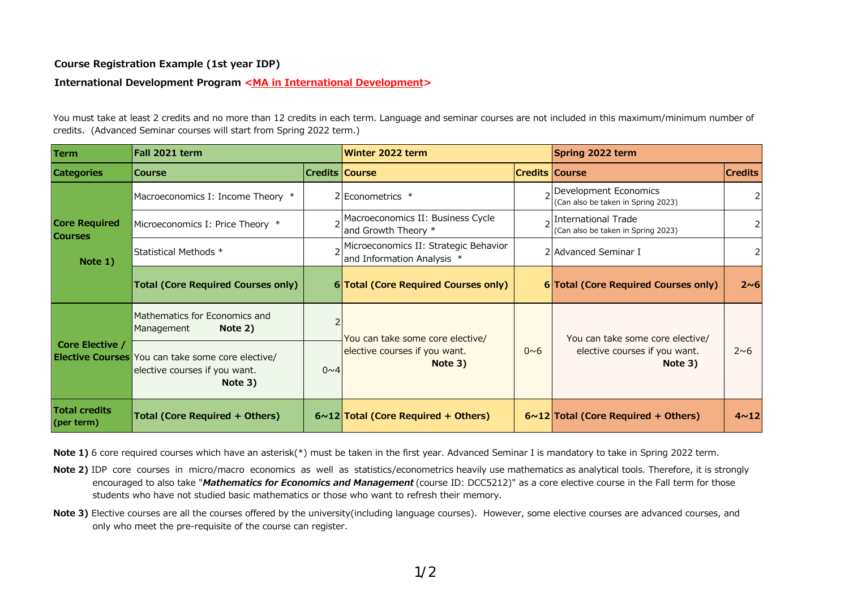## **Course Registration Example (1st year IDP)**

## **International Development Program <MA in International Development>**

You must take at least 2 credits and no more than 12 credits in each term. Language and seminar courses are not included in this maximum/minimum number of credits. (Advanced Seminar courses will start from Spring 2022 term.)

| <b>Term</b>                                         | Fall 2021 term                                                                                       |                 | Winter 2022 term                                                                 |                       | Spring 2022 term                                                             |                 |
|-----------------------------------------------------|------------------------------------------------------------------------------------------------------|-----------------|----------------------------------------------------------------------------------|-----------------------|------------------------------------------------------------------------------|-----------------|
| <b>Categories</b>                                   | <b>Course</b>                                                                                        | Credits  Course |                                                                                  | <b>Credits Course</b> |                                                                              | <b>Credits</b>  |
| <b>Core Required</b><br><b>Courses</b><br>Note $1)$ | Macroeconomics I: Income Theory *                                                                    |                 | 2 Econometrics *                                                                 |                       | bevelopment Economics<br>(Can also be taken in Spring 2023)                  |                 |
|                                                     | Microeconomics I: Price Theory *                                                                     |                 | 2 Macroeconomics II: Business Cycle<br>and Growth Theory *                       |                       | International Trade<br>(Can also be taken in Spring 2023)                    |                 |
|                                                     | Statistical Methods *                                                                                |                 | 2 <sup>Microeconomics II: Strategic Behavior</sup><br>and Information Analysis * |                       | 2 Advanced Seminar I                                                         |                 |
|                                                     | <b>Total (Core Required Courses only)</b>                                                            |                 | 6 Total (Core Required Courses only)                                             |                       | 6 Total (Core Required Courses only)                                         | $2\nu 6$        |
| Core Elective /                                     | Mathematics for Economics and<br>Note 2)<br>Management                                               |                 | You can take some core elective/<br>elective courses if you want.<br>Note 3)     | $0\nu6$               | You can take some core elective/<br>elective courses if you want.<br>Note 3) | 2~6             |
|                                                     | <b>Elective Courses</b> You can take some core elective/<br>elective courses if you want.<br>Note 3) | $0\nu4$         |                                                                                  |                       |                                                                              |                 |
| <b>Total credits</b><br>(per term)                  | Total (Core Required + Others)                                                                       |                 | $6 \sim 12$ Total (Core Required + Others)                                       |                       | $6 \sim 12$ Total (Core Required + Others)                                   | 4 <sub>12</sub> |

**Note 1)** 6 core required courses which have an asterisk(\*) must be taken in the first year. Advanced Seminar I is mandatory to take in Spring 2022 term.

- **Note 2)** IDP core courses in micro/macro economics as well as statistics/econometrics heavily use mathematics as analytical tools. Therefore, it is strongly encouraged to also take "*Mathematics for Economics and Management* (course ID: DCC5212)" as a core elective course in the Fall term for those students who have not studied basic mathematics or those who want to refresh their memory.
- **Note 3)** Elective courses are all the courses offered by the university(including language courses). However, some elective courses are advanced courses, and only who meet the pre-requisite of the course can register.